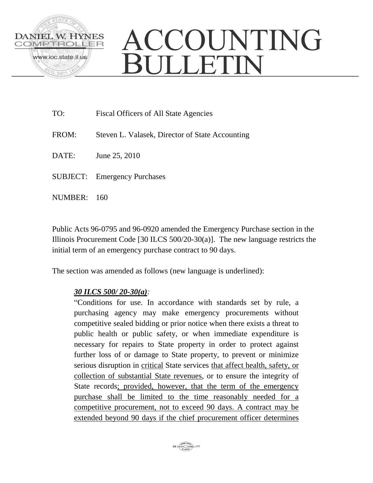

## ACCOUNTING BULLETIN

| TO:     | Fiscal Officers of All State Agencies           |
|---------|-------------------------------------------------|
| FROM:   | Steven L. Valasek, Director of State Accounting |
| DATE:   | June 25, 2010                                   |
|         | <b>SUBJECT:</b> Emergency Purchases             |
| NUMBER: | 160                                             |

Public Acts 96-0795 and 96-0920 amended the Emergency Purchase section in the Illinois Procurement Code [30 ILCS 500/20-30(a)]. The new language restricts the initial term of an emergency purchase contract to 90 days.

The section was amended as follows (new language is underlined):

## *30 ILCS 500/ 20-30(a):*

"Conditions for use. In accordance with standards set by rule, a purchasing agency may make emergency procurements without competitive sealed bidding or prior notice when there exists a threat to public health or public safety, or when immediate expenditure is necessary for repairs to State property in order to protect against further loss of or damage to State property, to prevent or minimize serious disruption in critical State services that affect health, safety, or collection of substantial State revenues, or to ensure the integrity of State records; provided, however, that the term of the emergency purchase shall be limited to the time reasonably needed for a competitive procurement, not to exceed 90 days. A contract may be extended beyond 90 days if the chief procurement officer determines